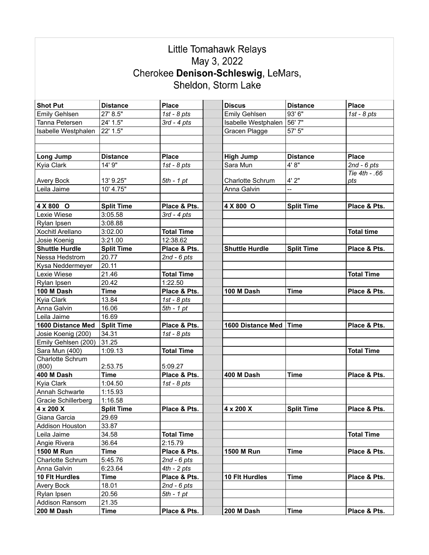|                                 |                    |                   | Little Tomahawk Relays              |                   |                   |
|---------------------------------|--------------------|-------------------|-------------------------------------|-------------------|-------------------|
|                                 |                    |                   | May 3, 2022                         |                   |                   |
|                                 |                    |                   | Cherokee Denison-Schleswig, LeMars, |                   |                   |
|                                 |                    |                   |                                     |                   |                   |
|                                 |                    |                   | Sheldon, Storm Lake                 |                   |                   |
|                                 |                    |                   |                                     |                   |                   |
| <b>Shot Put</b>                 | <b>Distance</b>    | <b>Place</b>      | <b>Discus</b>                       | <b>Distance</b>   | <b>Place</b>      |
| <b>Emily Gehlsen</b>            | 27' 8.5"           | 1st - $8$ pts     | <b>Emily Gehlsen</b>                | 93' 6"            | 1st - $8$ pts     |
| Tanna Petersen                  | 24' 1.5"           | $3rd - 4pts$      | Isabelle Westphalen                 | 56' 7"            |                   |
| Isabelle Westphalen             | 22' 1.5"           |                   | Gracen Plagge                       | 57' 5"            |                   |
|                                 |                    |                   |                                     |                   |                   |
|                                 |                    |                   |                                     |                   |                   |
| Long Jump                       | <b>Distance</b>    | <b>Place</b>      | <b>High Jump</b>                    | <b>Distance</b>   | <b>Place</b>      |
| Kyia Clark                      | 14' 9"             | 1st - $8$ pts     | Sara Mun                            | 4'8"              | $2nd - 6pts$      |
|                                 |                    |                   |                                     |                   | Tie 4th - .66     |
| Avery Bock                      | 13' 9.25"          | 5th - 1 pt        | <b>Charlotte Schrum</b>             | 4' 2"             | pts               |
| Leila Jaime                     | 10' 4.75"          |                   | Anna Galvin                         | --                |                   |
|                                 |                    |                   |                                     |                   |                   |
| 4 X 800 O                       | <b>Split Time</b>  | Place & Pts.      | 4 X 800 O                           | <b>Split Time</b> | Place & Pts.      |
| Lexie Wiese                     | 3:05.58<br>3:08.88 | $3rd - 4pts$      |                                     |                   |                   |
| Rylan Ipsen<br>Xochitl Arellano | 3:02.00            | <b>Total Time</b> |                                     |                   | <b>Total time</b> |
| Josie Koenig                    | 3:21.00            | 12:38.62          |                                     |                   |                   |
| <b>Shuttle Hurdle</b>           | <b>Split Time</b>  | Place & Pts.      | <b>Shuttle Hurdle</b>               | <b>Split Time</b> | Place & Pts.      |
| Nessa Hedstrom                  | 20.77              | $2nd - 6pts$      |                                     |                   |                   |
| Kysa Neddermeyer                | 20.11              |                   |                                     |                   |                   |
| Lexie Wiese                     | 21.46              | <b>Total Time</b> |                                     |                   | <b>Total Time</b> |
| Rylan Ipsen                     | 20.42              | 1:22.50           |                                     |                   |                   |
| 100 M Dash                      | <b>Time</b>        | Place & Pts.      | 100 M Dash                          | <b>Time</b>       | Place & Pts.      |
| Kyia Clark                      | 13.84              | 1st - $8$ pts     |                                     |                   |                   |
| Anna Galvin                     | 16.06              | $5th - 1 pt$      |                                     |                   |                   |
| Leila Jaime                     | 16.69              |                   |                                     |                   |                   |
| 1600 Distance Med               | <b>Split Time</b>  | Place & Pts.      | 1600 Distance Med                   | Time              | Place & Pts.      |
| Josie Koenig (200)              | 34.31              | 1st - $8$ pts     |                                     |                   |                   |
| Emily Gehlsen (200)             | 31.25              |                   |                                     |                   |                   |
| Sara Mun (400)                  | 1:09.13            | <b>Total Time</b> |                                     |                   | <b>Total Time</b> |
| Charlotte Schrum                |                    |                   |                                     |                   |                   |
| (800)                           | 2:53.75            | 5:09.27           |                                     |                   |                   |
| 400 M Dash                      | Time               | Place & Pts.      | 400 M Dash                          | <b>Time</b>       | Place & Pts.      |
| Kyia Clark                      | 1:04.50            | 1st - $8$ pts     |                                     |                   |                   |
| Annah Schwarte                  | 1:15.93            |                   |                                     |                   |                   |
| Gracie Schillerberg             | 1:16.58            |                   |                                     |                   |                   |
| 4 x 200 X                       | <b>Split Time</b>  | Place & Pts.      | 4 x 200 X                           | <b>Split Time</b> | Place & Pts.      |
| Giana Garcia                    | 29.69              |                   |                                     |                   |                   |
| Addison Houston                 | 33.87              |                   |                                     |                   |                   |
| Leila Jaime                     | 34.58              | <b>Total Time</b> |                                     |                   | <b>Total Time</b> |
| Angie Rivera                    | 36.64              | 2:15.79           |                                     |                   |                   |
| 1500 M Run                      | Time               | Place & Pts.      | <b>1500 M Run</b>                   | <b>Time</b>       | Place & Pts.      |
| Charlotte Schrum                | 5:45.76            | $2nd - 6pts$      |                                     |                   |                   |
| Anna Galvin                     | 6:23.64            | $4th - 2 pts$     |                                     |                   |                   |
| 10 Flt Hurdles                  | <b>Time</b>        | Place & Pts.      | 10 Flt Hurdles                      | <b>Time</b>       | Place & Pts.      |
| Avery Bock                      | 18.01              | $2nd - 6pts$      |                                     |                   |                   |
| Rylan Ipsen                     | 20.56              | $5th - 1 pt$      |                                     |                   |                   |
| Addison Ransom                  | 21.35              |                   |                                     |                   |                   |
| 200 M Dash                      | <b>Time</b>        | Place & Pts.      | 200 M Dash                          | <b>Time</b>       | Place & Pts.      |